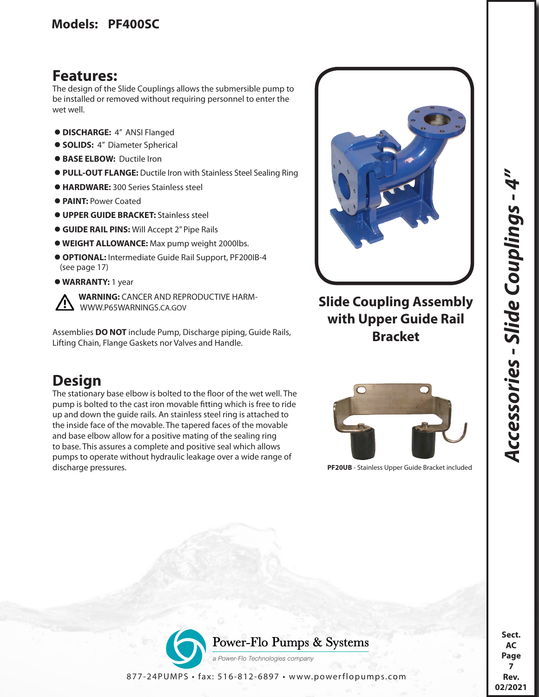## **Features:**

The design of the Slide Couplings allows the submersible pump to be installed or removed without requiring personnel to enter the wet well.

- **DISCHARGE:** 4" ANSI Flanged
- **SOLIDS:** 4" Diameter Spherical
- **BASE ELBOW:** Ductile Iron
- **PULL-OUT FLANGE:** Ductile Iron with Stainless Steel Sealing Ring
- **HARDWARE:** 300 Series Stainless steel
- **PAINT:** Power Coated
- **UPPER GUIDE BRACKET:** Stainless steel
- **GUIDE RAIL PINS:** Will Accept 2" Pipe Rails
- **WEIGHT ALLOWANCE:** Max pump weight 2000lbs.
- **OPTIONAL:** Intermediate Guide Rail Support, PF200IB-4 (see page 17)
- **WARRANTY:** 1 year

 **WARNING:** CANCER AND REPRODUCTIVE HARM- WWW.P65WARNINGS.CA.GOV

Assemblies **DO NOT** include Pump, Discharge piping, Guide Rails, Lifting Chain, Flange Gaskets nor Valves and Handle.

## **Design**

The stationary base elbow is bolted to the floor of the wet well. The pump is bolted to the cast iron movable fitting which is free to ride up and down the guide rails. An stainless steel ring is attached to the inside face of the movable. The tapered faces of the movable and base elbow allow for a positive mating of the sealing ring to base. This assures a complete and positive seal which allows pumps to operate without hydraulic leakage over a wide range of discharge pressures. **PF20UB** - Stainless Upper Guide Bracket included



## **Slide Coupling Assembly with Upper Guide Rail Bracket**





**AC Page 7 Rev. 02/2021**

*Accessories - Slide Couplings - 4"* 

Accessories - Slide Couplings - 4'